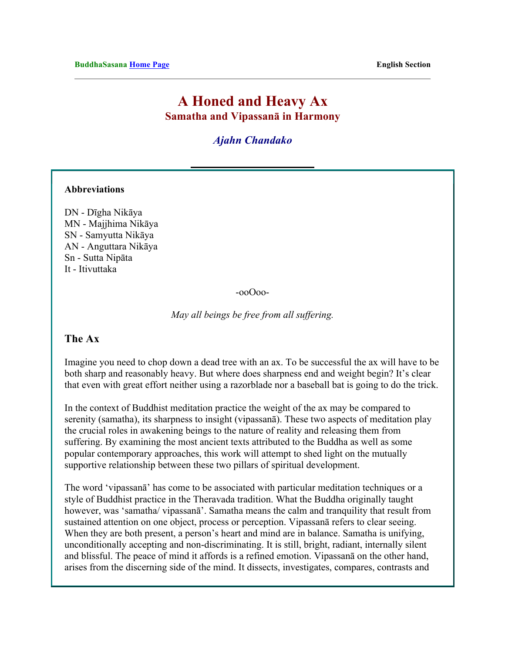# **A Honed and Heavy Ax Samatha and Vipassanā in Harmony**

*Ajahn Chandako*

#### **Abbreviations**

DN - Dīgha Nikāya MN - Majjhima Nikāya SN - Samyutta Nikāya AN - Anguttara Nikāya Sn - Sutta Nipāta It - Itivuttaka

-ooOoo-

*May all beings be free from all suffering.*

#### **The Ax**

Imagine you need to chop down a dead tree with an ax. To be successful the ax will have to be both sharp and reasonably heavy. But where does sharpness end and weight begin? It's clear that even with great effort neither using a razorblade nor a baseball bat is going to do the trick.

In the context of Buddhist meditation practice the weight of the ax may be compared to serenity (samatha), its sharpness to insight (vipassanā). These two aspects of meditation play the crucial roles in awakening beings to the nature of reality and releasing them from suffering. By examining the most ancient texts attributed to the Buddha as well as some popular contemporary approaches, this work will attempt to shed light on the mutually supportive relationship between these two pillars of spiritual development.

The word 'vipassanā' has come to be associated with particular meditation techniques or a style of Buddhist practice in the Theravada tradition. What the Buddha originally taught however, was 'samatha/ vipassanā'. Samatha means the calm and tranquility that result from sustained attention on one object, process or perception. Vipassanā refers to clear seeing. When they are both present, a person's heart and mind are in balance. Samatha is unifying, unconditionally accepting and non-discriminating. It is still, bright, radiant, internally silent and blissful. The peace of mind it affords is a refined emotion. Vipassanā on the other hand, arises from the discerning side of the mind. It dissects, investigates, compares, contrasts and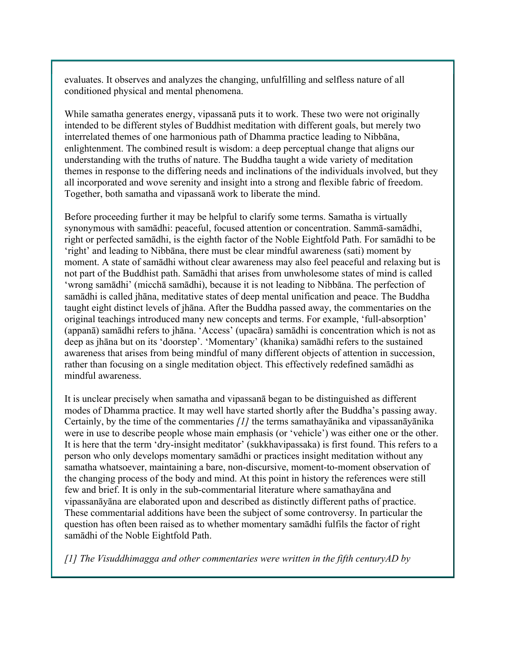evaluates. It observes and analyzes the changing, unfulfilling and selfless nature of all conditioned physical and mental phenomena.

While samatha generates energy, vipassanā puts it to work. These two were not originally intended to be different styles of Buddhist meditation with different goals, but merely two interrelated themes of one harmonious path of Dhamma practice leading to Nibbāna, enlightenment. The combined result is wisdom: a deep perceptual change that aligns our understanding with the truths of nature. The Buddha taught a wide variety of meditation themes in response to the differing needs and inclinations of the individuals involved, but they all incorporated and wove serenity and insight into a strong and flexible fabric of freedom. Together, both samatha and vipassanā work to liberate the mind.

Before proceeding further it may be helpful to clarify some terms. Samatha is virtually synonymous with samādhi: peaceful, focused attention or concentration. Sammā-samādhi, right or perfected samādhi, is the eighth factor of the Noble Eightfold Path. For samādhi to be 'right' and leading to Nibbāna, there must be clear mindful awareness (sati) moment by moment. A state of samādhi without clear awareness may also feel peaceful and relaxing but is not part of the Buddhist path. Samādhi that arises from unwholesome states of mind is called 'wrong samādhi' (micchā samādhi), because it is not leading to Nibbāna. The perfection of samādhi is called jhāna, meditative states of deep mental unification and peace. The Buddha taught eight distinct levels of jhāna. After the Buddha passed away, the commentaries on the original teachings introduced many new concepts and terms. For example, 'full-absorption' (appanā) samādhi refers to jhāna. 'Access' (upacāra) samādhi is concentration which is not as deep as jhāna but on its 'doorstep'. 'Momentary' (khanika) samādhi refers to the sustained awareness that arises from being mindful of many different objects of attention in succession, rather than focusing on a single meditation object. This effectively redefined samādhi as mindful awareness.

It is unclear precisely when samatha and vipassanā began to be distinguished as different modes of Dhamma practice. It may well have started shortly after the Buddha's passing away. Certainly, by the time of the commentaries *[1]* the terms samathayānika and vipassanāyānika were in use to describe people whose main emphasis (or 'vehicle') was either one or the other. It is here that the term 'dry-insight meditator' (sukkhavipassaka) is first found. This refers to a person who only develops momentary samādhi or practices insight meditation without any samatha whatsoever, maintaining a bare, non-discursive, moment-to-moment observation of the changing process of the body and mind. At this point in history the references were still few and brief. It is only in the sub-commentarial literature where samathayāna and vipassanāyāna are elaborated upon and described as distinctly different paths of practice. These commentarial additions have been the subject of some controversy. In particular the question has often been raised as to whether momentary samādhi fulfils the factor of right samādhi of the Noble Eightfold Path.

*[1] The Visuddhimagga and other commentaries were written in the fifth centuryAD by*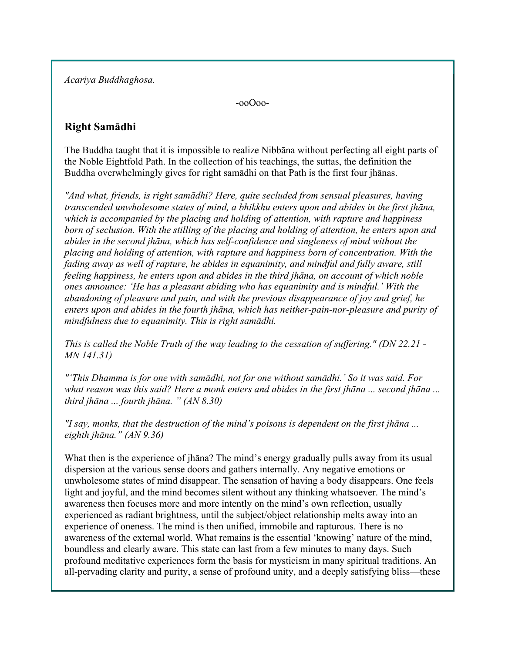*Acariya Buddhaghosa.* 

-ooOoo-

## **Right Samādhi**

The Buddha taught that it is impossible to realize Nibbāna without perfecting all eight parts of the Noble Eightfold Path. In the collection of his teachings, the suttas, the definition the Buddha overwhelmingly gives for right samādhi on that Path is the first four jhānas.

*"And what, friends, is right samādhi? Here, quite secluded from sensual pleasures, having transcended unwholesome states of mind, a bhikkhu enters upon and abides in the first jhāna, which is accompanied by the placing and holding of attention, with rapture and happiness born of seclusion. With the stilling of the placing and holding of attention, he enters upon and abides in the second jhāna, which has self-confidence and singleness of mind without the placing and holding of attention, with rapture and happiness born of concentration. With the fading away as well of rapture, he abides in equanimity, and mindful and fully aware, still feeling happiness, he enters upon and abides in the third jhāna, on account of which noble ones announce: 'He has a pleasant abiding who has equanimity and is mindful.' With the abandoning of pleasure and pain, and with the previous disappearance of joy and grief, he enters upon and abides in the fourth jhāna, which has neither-pain-nor-pleasure and purity of mindfulness due to equanimity. This is right samādhi.* 

*This is called the Noble Truth of the way leading to the cessation of suffering." (DN 22.21 - MN 141.31)*

*"'This Dhamma is for one with samādhi, not for one without samādhi.' So it was said. For what reason was this said? Here a monk enters and abides in the first jhāna ... second jhāna ... third jhāna ... fourth jhāna. " (AN 8.30)*

*"I say, monks, that the destruction of the mind's poisons is dependent on the first jhāna ... eighth jhāna." (AN 9.36)*

What then is the experience of jhāna? The mind's energy gradually pulls away from its usual dispersion at the various sense doors and gathers internally. Any negative emotions or unwholesome states of mind disappear. The sensation of having a body disappears. One feels light and joyful, and the mind becomes silent without any thinking whatsoever. The mind's awareness then focuses more and more intently on the mind's own reflection, usually experienced as radiant brightness, until the subject/object relationship melts away into an experience of oneness. The mind is then unified, immobile and rapturous. There is no awareness of the external world. What remains is the essential 'knowing' nature of the mind, boundless and clearly aware. This state can last from a few minutes to many days. Such profound meditative experiences form the basis for mysticism in many spiritual traditions. An all-pervading clarity and purity, a sense of profound unity, and a deeply satisfying bliss—these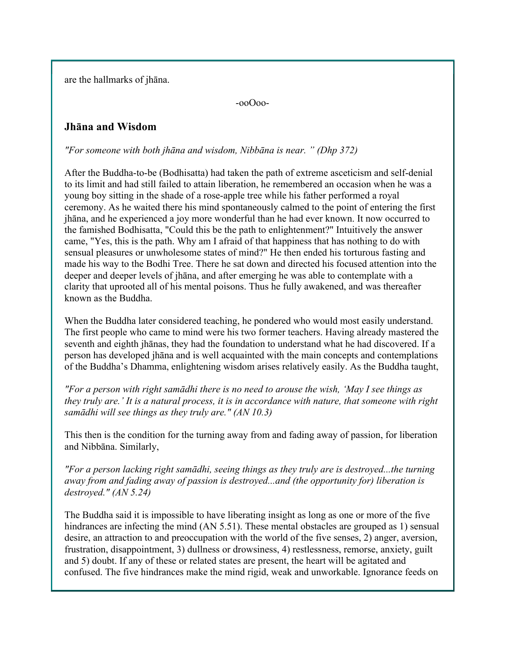are the hallmarks of jhāna.

-ooOoo-

## **Jhāna and Wisdom**

*"For someone with both jhāna and wisdom, Nibbāna is near. " (Dhp 372)*

After the Buddha-to-be (Bodhisatta) had taken the path of extreme asceticism and self-denial to its limit and had still failed to attain liberation, he remembered an occasion when he was a young boy sitting in the shade of a rose-apple tree while his father performed a royal ceremony. As he waited there his mind spontaneously calmed to the point of entering the first jhāna, and he experienced a joy more wonderful than he had ever known. It now occurred to the famished Bodhisatta, "Could this be the path to enlightenment?" Intuitively the answer came, "Yes, this is the path. Why am I afraid of that happiness that has nothing to do with sensual pleasures or unwholesome states of mind?" He then ended his torturous fasting and made his way to the Bodhi Tree. There he sat down and directed his focused attention into the deeper and deeper levels of jhāna, and after emerging he was able to contemplate with a clarity that uprooted all of his mental poisons. Thus he fully awakened, and was thereafter known as the Buddha.

When the Buddha later considered teaching, he pondered who would most easily understand. The first people who came to mind were his two former teachers. Having already mastered the seventh and eighth jhānas, they had the foundation to understand what he had discovered. If a person has developed jhāna and is well acquainted with the main concepts and contemplations of the Buddha's Dhamma, enlightening wisdom arises relatively easily. As the Buddha taught,

*"For a person with right samādhi there is no need to arouse the wish, 'May I see things as they truly are.' It is a natural process, it is in accordance with nature, that someone with right samādhi will see things as they truly are." (AN 10.3)*

This then is the condition for the turning away from and fading away of passion, for liberation and Nibbāna. Similarly,

*"For a person lacking right samādhi, seeing things as they truly are is destroyed...the turning away from and fading away of passion is destroyed...and (the opportunity for) liberation is destroyed." (AN 5.24)* 

The Buddha said it is impossible to have liberating insight as long as one or more of the five hindrances are infecting the mind (AN 5.51). These mental obstacles are grouped as 1) sensual desire, an attraction to and preoccupation with the world of the five senses, 2) anger, aversion, frustration, disappointment, 3) dullness or drowsiness, 4) restlessness, remorse, anxiety, guilt and 5) doubt. If any of these or related states are present, the heart will be agitated and confused. The five hindrances make the mind rigid, weak and unworkable. Ignorance feeds on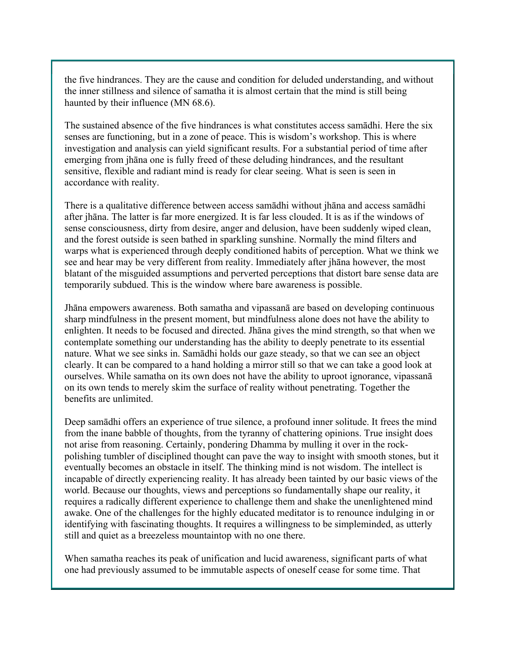the five hindrances. They are the cause and condition for deluded understanding, and without the inner stillness and silence of samatha it is almost certain that the mind is still being haunted by their influence (MN 68.6).

The sustained absence of the five hindrances is what constitutes access samādhi. Here the six senses are functioning, but in a zone of peace. This is wisdom's workshop. This is where investigation and analysis can yield significant results. For a substantial period of time after emerging from jhāna one is fully freed of these deluding hindrances, and the resultant sensitive, flexible and radiant mind is ready for clear seeing. What is seen is seen in accordance with reality.

There is a qualitative difference between access samādhi without jhāna and access samādhi after jhāna. The latter is far more energized. It is far less clouded. It is as if the windows of sense consciousness, dirty from desire, anger and delusion, have been suddenly wiped clean, and the forest outside is seen bathed in sparkling sunshine. Normally the mind filters and warps what is experienced through deeply conditioned habits of perception. What we think we see and hear may be very different from reality. Immediately after jhāna however, the most blatant of the misguided assumptions and perverted perceptions that distort bare sense data are temporarily subdued. This is the window where bare awareness is possible.

Jhāna empowers awareness. Both samatha and vipassanā are based on developing continuous sharp mindfulness in the present moment, but mindfulness alone does not have the ability to enlighten. It needs to be focused and directed. Jhāna gives the mind strength, so that when we contemplate something our understanding has the ability to deeply penetrate to its essential nature. What we see sinks in. Samādhi holds our gaze steady, so that we can see an object clearly. It can be compared to a hand holding a mirror still so that we can take a good look at ourselves. While samatha on its own does not have the ability to uproot ignorance, vipassanā on its own tends to merely skim the surface of reality without penetrating. Together the benefits are unlimited.

Deep samādhi offers an experience of true silence, a profound inner solitude. It frees the mind from the inane babble of thoughts, from the tyranny of chattering opinions. True insight does not arise from reasoning. Certainly, pondering Dhamma by mulling it over in the rockpolishing tumbler of disciplined thought can pave the way to insight with smooth stones, but it eventually becomes an obstacle in itself. The thinking mind is not wisdom. The intellect is incapable of directly experiencing reality. It has already been tainted by our basic views of the world. Because our thoughts, views and perceptions so fundamentally shape our reality, it requires a radically different experience to challenge them and shake the unenlightened mind awake. One of the challenges for the highly educated meditator is to renounce indulging in or identifying with fascinating thoughts. It requires a willingness to be simpleminded, as utterly still and quiet as a breezeless mountaintop with no one there.

When samatha reaches its peak of unification and lucid awareness, significant parts of what one had previously assumed to be immutable aspects of oneself cease for some time. That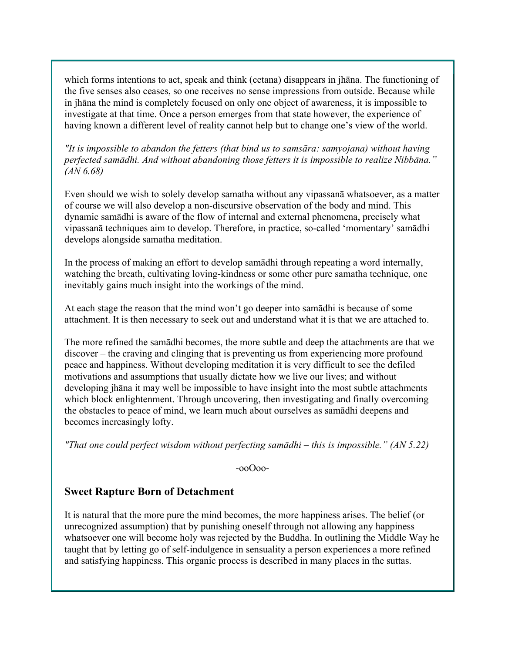which forms intentions to act, speak and think (cetana) disappears in jhāna. The functioning of the five senses also ceases, so one receives no sense impressions from outside. Because while in jhāna the mind is completely focused on only one object of awareness, it is impossible to investigate at that time. Once a person emerges from that state however, the experience of having known a different level of reality cannot help but to change one's view of the world.

*"It is impossible to abandon the fetters (that bind us to samsāra: samyojana) without having perfected samādhi. And without abandoning those fetters it is impossible to realize Nibbāna." (AN 6.68)*

Even should we wish to solely develop samatha without any vipassanā whatsoever, as a matter of course we will also develop a non-discursive observation of the body and mind. This dynamic samādhi is aware of the flow of internal and external phenomena, precisely what vipassanā techniques aim to develop. Therefore, in practice, so-called 'momentary' samādhi develops alongside samatha meditation.

In the process of making an effort to develop samādhi through repeating a word internally, watching the breath, cultivating loving-kindness or some other pure samatha technique, one inevitably gains much insight into the workings of the mind.

At each stage the reason that the mind won't go deeper into samādhi is because of some attachment. It is then necessary to seek out and understand what it is that we are attached to.

The more refined the samādhi becomes, the more subtle and deep the attachments are that we discover – the craving and clinging that is preventing us from experiencing more profound peace and happiness. Without developing meditation it is very difficult to see the defiled motivations and assumptions that usually dictate how we live our lives; and without developing jhāna it may well be impossible to have insight into the most subtle attachments which block enlightenment. Through uncovering, then investigating and finally overcoming the obstacles to peace of mind, we learn much about ourselves as samādhi deepens and becomes increasingly lofty.

*"That one could perfect wisdom without perfecting samādhi – this is impossible." (AN 5.22)* 

-ooOoo-

### **Sweet Rapture Born of Detachment**

It is natural that the more pure the mind becomes, the more happiness arises. The belief (or unrecognized assumption) that by punishing oneself through not allowing any happiness whatsoever one will become holy was rejected by the Buddha. In outlining the Middle Way he taught that by letting go of self-indulgence in sensuality a person experiences a more refined and satisfying happiness. This organic process is described in many places in the suttas.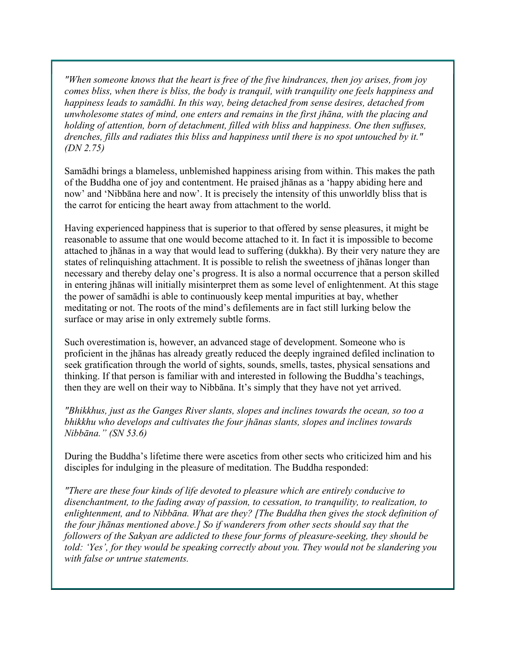*"When someone knows that the heart is free of the five hindrances, then joy arises, from joy comes bliss, when there is bliss, the body is tranquil, with tranquility one feels happiness and happiness leads to samādhi. In this way, being detached from sense desires, detached from unwholesome states of mind, one enters and remains in the first jhāna, with the placing and holding of attention, born of detachment, filled with bliss and happiness. One then suffuses, drenches, fills and radiates this bliss and happiness until there is no spot untouched by it." (DN 2.75)*

Samādhi brings a blameless, unblemished happiness arising from within. This makes the path of the Buddha one of joy and contentment. He praised jhānas as a 'happy abiding here and now' and 'Nibbāna here and now'. It is precisely the intensity of this unworldly bliss that is the carrot for enticing the heart away from attachment to the world.

Having experienced happiness that is superior to that offered by sense pleasures, it might be reasonable to assume that one would become attached to it. In fact it is impossible to become attached to jhānas in a way that would lead to suffering (dukkha). By their very nature they are states of relinquishing attachment. It is possible to relish the sweetness of jhānas longer than necessary and thereby delay one's progress. It is also a normal occurrence that a person skilled in entering jhānas will initially misinterpret them as some level of enlightenment. At this stage the power of samādhi is able to continuously keep mental impurities at bay, whether meditating or not. The roots of the mind's defilements are in fact still lurking below the surface or may arise in only extremely subtle forms.

Such overestimation is, however, an advanced stage of development. Someone who is proficient in the jhānas has already greatly reduced the deeply ingrained defiled inclination to seek gratification through the world of sights, sounds, smells, tastes, physical sensations and thinking. If that person is familiar with and interested in following the Buddha's teachings, then they are well on their way to Nibbāna. It's simply that they have not yet arrived.

*"Bhikkhus, just as the Ganges River slants, slopes and inclines towards the ocean, so too a bhikkhu who develops and cultivates the four jhānas slants, slopes and inclines towards Nibbāna." (SN 53.6)*

During the Buddha's lifetime there were ascetics from other sects who criticized him and his disciples for indulging in the pleasure of meditation. The Buddha responded:

*"There are these four kinds of life devoted to pleasure which are entirely conducive to disenchantment, to the fading away of passion, to cessation, to tranquility, to realization, to enlightenment, and to Nibbāna. What are they? [The Buddha then gives the stock definition of the four jhānas mentioned above.] So if wanderers from other sects should say that the followers of the Sakyan are addicted to these four forms of pleasure-seeking, they should be told: 'Yes', for they would be speaking correctly about you. They would not be slandering you with false or untrue statements.*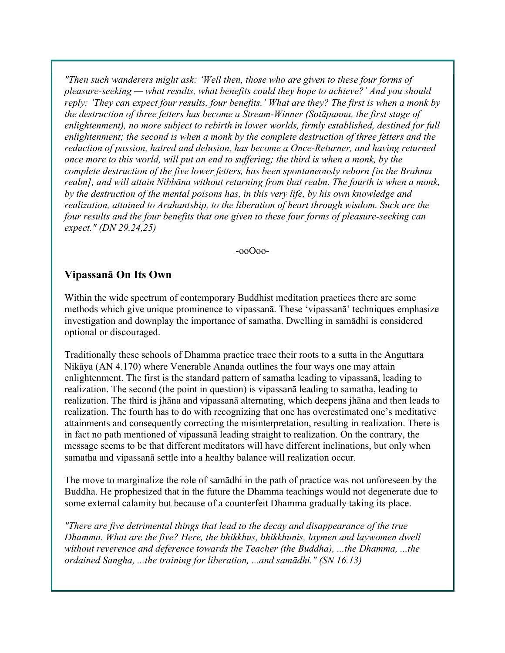*"Then such wanderers might ask: 'Well then, those who are given to these four forms of pleasure-seeking — what results, what benefits could they hope to achieve?' And you should reply: 'They can expect four results, four benefits.' What are they? The first is when a monk by the destruction of three fetters has become a Stream-Winner (Sotāpanna, the first stage of enlightenment), no more subject to rebirth in lower worlds, firmly established, destined for full enlightenment; the second is when a monk by the complete destruction of three fetters and the reduction of passion, hatred and delusion, has become a Once-Returner, and having returned once more to this world, will put an end to suffering; the third is when a monk, by the complete destruction of the five lower fetters, has been spontaneously reborn [in the Brahma realm], and will attain Nibbāna without returning from that realm. The fourth is when a monk, by the destruction of the mental poisons has, in this very life, by his own knowledge and realization, attained to Arahantship, to the liberation of heart through wisdom. Such are the four results and the four benefits that one given to these four forms of pleasure-seeking can expect." (DN 29.24,25)* 

-ooOoo-

#### **Vipassanā On Its Own**

Within the wide spectrum of contemporary Buddhist meditation practices there are some methods which give unique prominence to vipassanā. These 'vipassanā' techniques emphasize investigation and downplay the importance of samatha. Dwelling in samādhi is considered optional or discouraged.

Traditionally these schools of Dhamma practice trace their roots to a sutta in the Anguttara Nikāya (AN 4.170) where Venerable Ananda outlines the four ways one may attain enlightenment. The first is the standard pattern of samatha leading to vipassanā, leading to realization. The second (the point in question) is vipassanā leading to samatha, leading to realization. The third is jhāna and vipassanā alternating, which deepens jhāna and then leads to realization. The fourth has to do with recognizing that one has overestimated one's meditative attainments and consequently correcting the misinterpretation, resulting in realization. There is in fact no path mentioned of vipassanā leading straight to realization. On the contrary, the message seems to be that different meditators will have different inclinations, but only when samatha and vipassanā settle into a healthy balance will realization occur.

The move to marginalize the role of samādhi in the path of practice was not unforeseen by the Buddha. He prophesized that in the future the Dhamma teachings would not degenerate due to some external calamity but because of a counterfeit Dhamma gradually taking its place.

*"There are five detrimental things that lead to the decay and disappearance of the true Dhamma. What are the five? Here, the bhikkhus, bhikkhunis, laymen and laywomen dwell without reverence and deference towards the Teacher (the Buddha), ...the Dhamma, ...the ordained Sangha, ...the training for liberation, ...and samādhi." (SN 16.13)*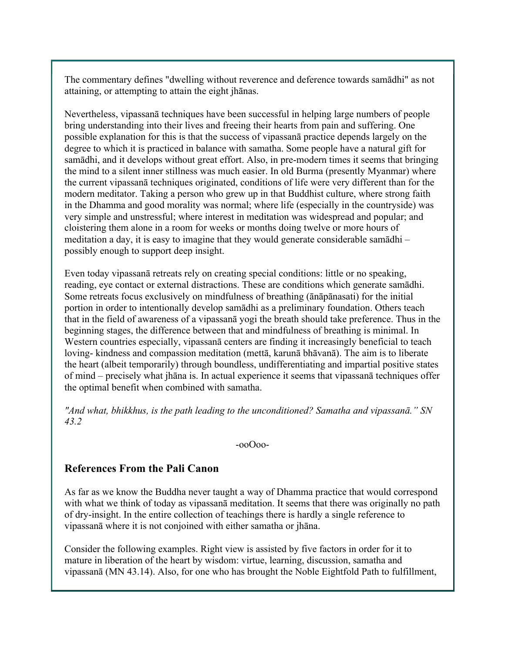The commentary defines "dwelling without reverence and deference towards samādhi" as not attaining, or attempting to attain the eight jhānas.

Nevertheless, vipassanā techniques have been successful in helping large numbers of people bring understanding into their lives and freeing their hearts from pain and suffering. One possible explanation for this is that the success of vipassanā practice depends largely on the degree to which it is practiced in balance with samatha. Some people have a natural gift for samādhi, and it develops without great effort. Also, in pre-modern times it seems that bringing the mind to a silent inner stillness was much easier. In old Burma (presently Myanmar) where the current vipassanā techniques originated, conditions of life were very different than for the modern meditator. Taking a person who grew up in that Buddhist culture, where strong faith in the Dhamma and good morality was normal; where life (especially in the countryside) was very simple and unstressful; where interest in meditation was widespread and popular; and cloistering them alone in a room for weeks or months doing twelve or more hours of meditation a day, it is easy to imagine that they would generate considerable samādhi – possibly enough to support deep insight.

Even today vipassanā retreats rely on creating special conditions: little or no speaking, reading, eye contact or external distractions. These are conditions which generate samādhi. Some retreats focus exclusively on mindfulness of breathing (ānāpānasati) for the initial portion in order to intentionally develop samādhi as a preliminary foundation. Others teach that in the field of awareness of a vipassanā yogi the breath should take preference. Thus in the beginning stages, the difference between that and mindfulness of breathing is minimal. In Western countries especially, vipassanā centers are finding it increasingly beneficial to teach loving- kindness and compassion meditation (mettā, karunā bhāvanā). The aim is to liberate the heart (albeit temporarily) through boundless, undifferentiating and impartial positive states of mind – precisely what jhāna is. In actual experience it seems that vipassanā techniques offer the optimal benefit when combined with samatha.

*"And what, bhikkhus, is the path leading to the unconditioned? Samatha and vipassanā." SN 43.2* 

-ooOoo-

## **References From the Pali Canon**

As far as we know the Buddha never taught a way of Dhamma practice that would correspond with what we think of today as vipassanā meditation. It seems that there was originally no path of dry-insight. In the entire collection of teachings there is hardly a single reference to vipassanā where it is not conjoined with either samatha or jhāna.

Consider the following examples. Right view is assisted by five factors in order for it to mature in liberation of the heart by wisdom: virtue, learning, discussion, samatha and vipassanā (MN 43.14). Also, for one who has brought the Noble Eightfold Path to fulfillment,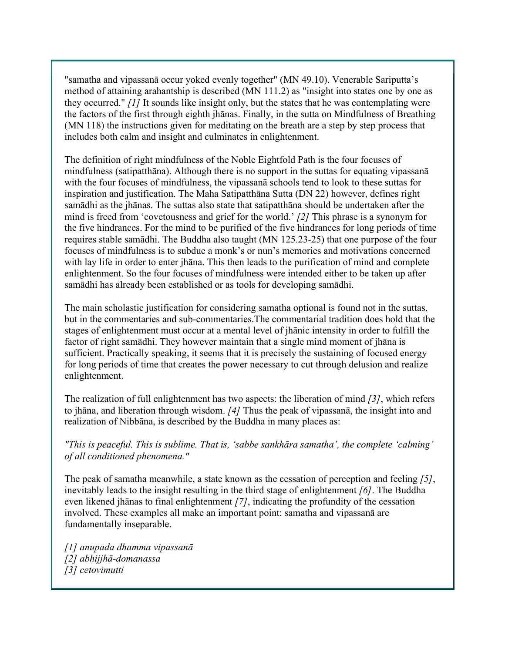"samatha and vipassanā occur yoked evenly together" (MN 49.10). Venerable Sariputta's method of attaining arahantship is described (MN 111.2) as "insight into states one by one as they occurred." *[1]* It sounds like insight only, but the states that he was contemplating were the factors of the first through eighth jhānas. Finally, in the sutta on Mindfulness of Breathing (MN 118) the instructions given for meditating on the breath are a step by step process that includes both calm and insight and culminates in enlightenment.

The definition of right mindfulness of the Noble Eightfold Path is the four focuses of mindfulness (satipatthāna). Although there is no support in the suttas for equating vipassanā with the four focuses of mindfulness, the vipassanā schools tend to look to these suttas for inspiration and justification. The Maha Satipatthāna Sutta (DN 22) however, defines right samādhi as the jhānas. The suttas also state that satipatthāna should be undertaken after the mind is freed from 'covetousness and grief for the world.' *[2]* This phrase is a synonym for the five hindrances. For the mind to be purified of the five hindrances for long periods of time requires stable samādhi. The Buddha also taught (MN 125.23-25) that one purpose of the four focuses of mindfulness is to subdue a monk's or nun's memories and motivations concerned with lay life in order to enter jhāna. This then leads to the purification of mind and complete enlightenment. So the four focuses of mindfulness were intended either to be taken up after samādhi has already been established or as tools for developing samādhi.

The main scholastic justification for considering samatha optional is found not in the suttas, but in the commentaries and sub-commentaries.The commentarial tradition does hold that the stages of enlightenment must occur at a mental level of jhānic intensity in order to fulfill the factor of right samādhi. They however maintain that a single mind moment of jhāna is sufficient. Practically speaking, it seems that it is precisely the sustaining of focused energy for long periods of time that creates the power necessary to cut through delusion and realize enlightenment.

The realization of full enlightenment has two aspects: the liberation of mind *[3]*, which refers to jhāna, and liberation through wisdom. *[4]* Thus the peak of vipassanā, the insight into and realization of Nibbāna, is described by the Buddha in many places as:

*"This is peaceful. This is sublime. That is, 'sabbe sankhāra samatha', the complete 'calming' of all conditioned phenomena."*

The peak of samatha meanwhile, a state known as the cessation of perception and feeling *[5]*, inevitably leads to the insight resulting in the third stage of enlightenment *[6]*. The Buddha even likened jhānas to final enlightenment *[7]*, indicating the profundity of the cessation involved. These examples all make an important point: samatha and vipassanā are fundamentally inseparable.

*[1] anupada dhamma vipassanā [2] abhijjhā-domanassa [3] cetovimutti*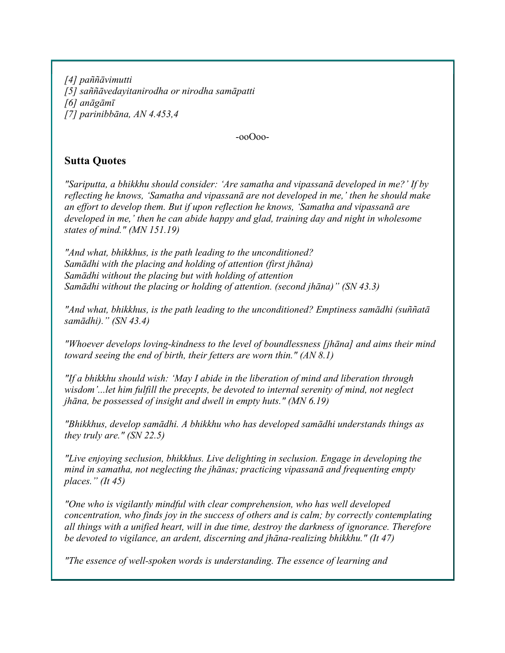*[4] paññāvimutti [5] saññāvedayitanirodha or nirodha samāpatti [6] anāgāmī [7] parinibbāna, AN 4.453,4* 

-ooOoo-

## **Sutta Quotes**

*"Sariputta, a bhikkhu should consider: 'Are samatha and vipassanā developed in me?' If by reflecting he knows, 'Samatha and vipassanā are not developed in me,' then he should make an effort to develop them. But if upon reflection he knows, 'Samatha and vipassanā are developed in me,' then he can abide happy and glad, training day and night in wholesome states of mind." (MN 151.19)* 

*"And what, bhikkhus, is the path leading to the unconditioned? Samādhi with the placing and holding of attention (first jhāna) Samādhi without the placing but with holding of attention Samādhi without the placing or holding of attention. (second jhāna)" (SN 43.3)*

*"And what, bhikkhus, is the path leading to the unconditioned? Emptiness samādhi (suññatā samādhi)." (SN 43.4)*

*"Whoever develops loving-kindness to the level of boundlessness [jhāna] and aims their mind toward seeing the end of birth, their fetters are worn thin." (AN 8.1)*

*"If a bhikkhu should wish: 'May I abide in the liberation of mind and liberation through wisdom'...let him fulfill the precepts, be devoted to internal serenity of mind, not neglect jhāna, be possessed of insight and dwell in empty huts." (MN 6.19)* 

*"Bhikkhus, develop samādhi. A bhikkhu who has developed samādhi understands things as they truly are." (SN 22.5)*

*"Live enjoying seclusion, bhikkhus. Live delighting in seclusion. Engage in developing the mind in samatha, not neglecting the jhānas; practicing vipassanā and frequenting empty places." (It 45)*

*"One who is vigilantly mindful with clear comprehension, who has well developed concentration, who finds joy in the success of others and is calm; by correctly contemplating all things with a unified heart, will in due time, destroy the darkness of ignorance. Therefore be devoted to vigilance, an ardent, discerning and jhāna-realizing bhikkhu." (It 47)*

*"The essence of well-spoken words is understanding. The essence of learning and*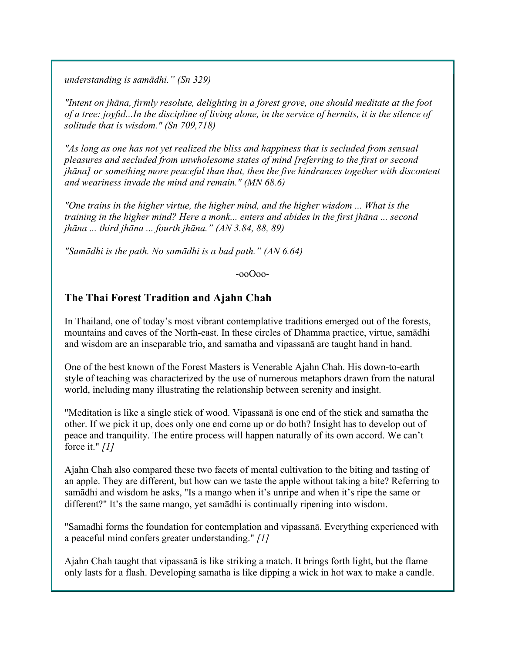*understanding is samādhi." (Sn 329)*

*"Intent on jhāna, firmly resolute, delighting in a forest grove, one should meditate at the foot of a tree: joyful...In the discipline of living alone, in the service of hermits, it is the silence of solitude that is wisdom." (Sn 709,718)*

*"As long as one has not yet realized the bliss and happiness that is secluded from sensual pleasures and secluded from unwholesome states of mind [referring to the first or second jhāna] or something more peaceful than that, then the five hindrances together with discontent and weariness invade the mind and remain." (MN 68.6)*

*"One trains in the higher virtue, the higher mind, and the higher wisdom ... What is the training in the higher mind? Here a monk... enters and abides in the first jhāna ... second jhāna ... third jhāna ... fourth jhāna." (AN 3.84, 88, 89)*

*"Samādhi is the path. No samādhi is a bad path." (AN 6.64)*

-ooOoo-

## **The Thai Forest Tradition and Ajahn Chah**

In Thailand, one of today's most vibrant contemplative traditions emerged out of the forests, mountains and caves of the North-east. In these circles of Dhamma practice, virtue, samādhi and wisdom are an inseparable trio, and samatha and vipassanā are taught hand in hand.

One of the best known of the Forest Masters is Venerable Ajahn Chah. His down-to-earth style of teaching was characterized by the use of numerous metaphors drawn from the natural world, including many illustrating the relationship between serenity and insight.

"Meditation is like a single stick of wood. Vipassanā is one end of the stick and samatha the other. If we pick it up, does only one end come up or do both? Insight has to develop out of peace and tranquility. The entire process will happen naturally of its own accord. We can't force it." *[1]*

Ajahn Chah also compared these two facets of mental cultivation to the biting and tasting of an apple. They are different, but how can we taste the apple without taking a bite? Referring to samādhi and wisdom he asks, "Is a mango when it's unripe and when it's ripe the same or different?" It's the same mango, yet samādhi is continually ripening into wisdom.

"Samadhi forms the foundation for contemplation and vipassanā. Everything experienced with a peaceful mind confers greater understanding." *[1]*

Ajahn Chah taught that vipassanā is like striking a match. It brings forth light, but the flame only lasts for a flash. Developing samatha is like dipping a wick in hot wax to make a candle.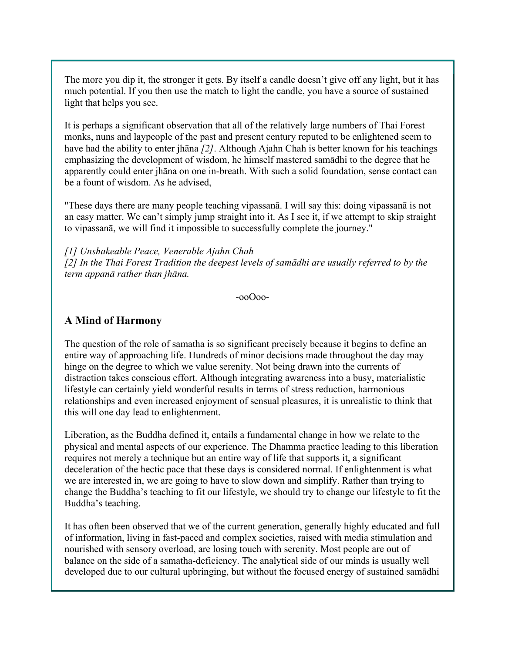The more you dip it, the stronger it gets. By itself a candle doesn't give off any light, but it has much potential. If you then use the match to light the candle, you have a source of sustained light that helps you see.

It is perhaps a significant observation that all of the relatively large numbers of Thai Forest monks, nuns and laypeople of the past and present century reputed to be enlightened seem to have had the ability to enter jhāna *[2]*. Although Ajahn Chah is better known for his teachings emphasizing the development of wisdom, he himself mastered samādhi to the degree that he apparently could enter jhāna on one in-breath. With such a solid foundation, sense contact can be a fount of wisdom. As he advised,

"These days there are many people teaching vipassanā. I will say this: doing vipassanā is not an easy matter. We can't simply jump straight into it. As I see it, if we attempt to skip straight to vipassanā, we will find it impossible to successfully complete the journey."

*[1] Unshakeable Peace, Venerable Ajahn Chah [2] In the Thai Forest Tradition the deepest levels of samādhi are usually referred to by the term appanā rather than jhāna.* 

-ooOoo-

### **A Mind of Harmony**

The question of the role of samatha is so significant precisely because it begins to define an entire way of approaching life. Hundreds of minor decisions made throughout the day may hinge on the degree to which we value serenity. Not being drawn into the currents of distraction takes conscious effort. Although integrating awareness into a busy, materialistic lifestyle can certainly yield wonderful results in terms of stress reduction, harmonious relationships and even increased enjoyment of sensual pleasures, it is unrealistic to think that this will one day lead to enlightenment.

Liberation, as the Buddha defined it, entails a fundamental change in how we relate to the physical and mental aspects of our experience. The Dhamma practice leading to this liberation requires not merely a technique but an entire way of life that supports it, a significant deceleration of the hectic pace that these days is considered normal. If enlightenment is what we are interested in, we are going to have to slow down and simplify. Rather than trying to change the Buddha's teaching to fit our lifestyle, we should try to change our lifestyle to fit the Buddha's teaching.

It has often been observed that we of the current generation, generally highly educated and full of information, living in fast-paced and complex societies, raised with media stimulation and nourished with sensory overload, are losing touch with serenity. Most people are out of balance on the side of a samatha-deficiency. The analytical side of our minds is usually well developed due to our cultural upbringing, but without the focused energy of sustained samādhi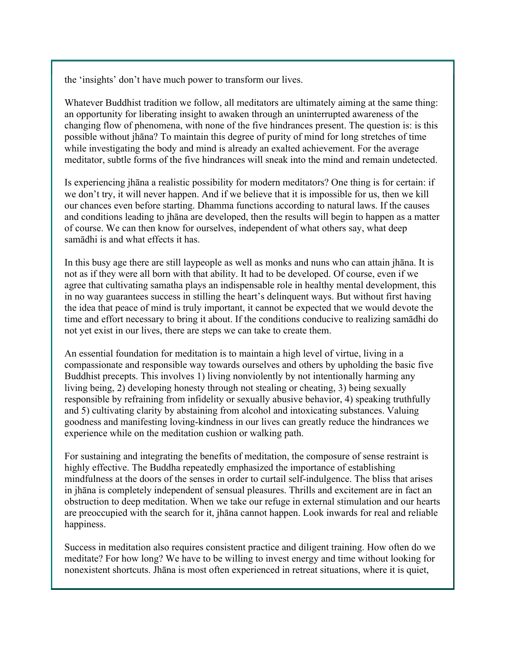the 'insights' don't have much power to transform our lives.

Whatever Buddhist tradition we follow, all meditators are ultimately aiming at the same thing: an opportunity for liberating insight to awaken through an uninterrupted awareness of the changing flow of phenomena, with none of the five hindrances present. The question is: is this possible without jhāna? To maintain this degree of purity of mind for long stretches of time while investigating the body and mind is already an exalted achievement. For the average meditator, subtle forms of the five hindrances will sneak into the mind and remain undetected.

Is experiencing jhāna a realistic possibility for modern meditators? One thing is for certain: if we don't try, it will never happen. And if we believe that it is impossible for us, then we kill our chances even before starting. Dhamma functions according to natural laws. If the causes and conditions leading to jhāna are developed, then the results will begin to happen as a matter of course. We can then know for ourselves, independent of what others say, what deep samādhi is and what effects it has.

In this busy age there are still laypeople as well as monks and nuns who can attain jhāna. It is not as if they were all born with that ability. It had to be developed. Of course, even if we agree that cultivating samatha plays an indispensable role in healthy mental development, this in no way guarantees success in stilling the heart's delinquent ways. But without first having the idea that peace of mind is truly important, it cannot be expected that we would devote the time and effort necessary to bring it about. If the conditions conducive to realizing samādhi do not yet exist in our lives, there are steps we can take to create them.

An essential foundation for meditation is to maintain a high level of virtue, living in a compassionate and responsible way towards ourselves and others by upholding the basic five Buddhist precepts. This involves 1) living nonviolently by not intentionally harming any living being, 2) developing honesty through not stealing or cheating, 3) being sexually responsible by refraining from infidelity or sexually abusive behavior, 4) speaking truthfully and 5) cultivating clarity by abstaining from alcohol and intoxicating substances. Valuing goodness and manifesting loving-kindness in our lives can greatly reduce the hindrances we experience while on the meditation cushion or walking path.

For sustaining and integrating the benefits of meditation, the composure of sense restraint is highly effective. The Buddha repeatedly emphasized the importance of establishing mindfulness at the doors of the senses in order to curtail self-indulgence. The bliss that arises in jhāna is completely independent of sensual pleasures. Thrills and excitement are in fact an obstruction to deep meditation. When we take our refuge in external stimulation and our hearts are preoccupied with the search for it, jhāna cannot happen. Look inwards for real and reliable happiness.

Success in meditation also requires consistent practice and diligent training. How often do we meditate? For how long? We have to be willing to invest energy and time without looking for nonexistent shortcuts. Jhāna is most often experienced in retreat situations, where it is quiet,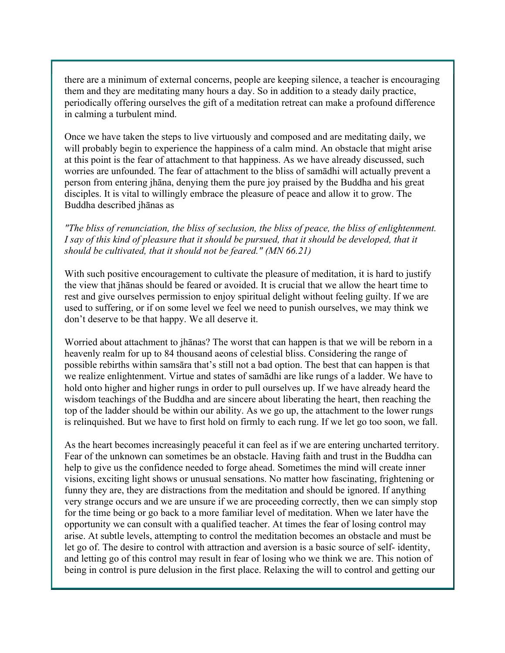there are a minimum of external concerns, people are keeping silence, a teacher is encouraging them and they are meditating many hours a day. So in addition to a steady daily practice, periodically offering ourselves the gift of a meditation retreat can make a profound difference in calming a turbulent mind.

Once we have taken the steps to live virtuously and composed and are meditating daily, we will probably begin to experience the happiness of a calm mind. An obstacle that might arise at this point is the fear of attachment to that happiness. As we have already discussed, such worries are unfounded. The fear of attachment to the bliss of samādhi will actually prevent a person from entering jhāna, denying them the pure joy praised by the Buddha and his great disciples. It is vital to willingly embrace the pleasure of peace and allow it to grow. The Buddha described jhānas as

*"The bliss of renunciation, the bliss of seclusion, the bliss of peace, the bliss of enlightenment. I say of this kind of pleasure that it should be pursued, that it should be developed, that it should be cultivated, that it should not be feared." (MN 66.21)*

With such positive encouragement to cultivate the pleasure of meditation, it is hard to justify the view that jhānas should be feared or avoided. It is crucial that we allow the heart time to rest and give ourselves permission to enjoy spiritual delight without feeling guilty. If we are used to suffering, or if on some level we feel we need to punish ourselves, we may think we don't deserve to be that happy. We all deserve it.

Worried about attachment to jhānas? The worst that can happen is that we will be reborn in a heavenly realm for up to 84 thousand aeons of celestial bliss. Considering the range of possible rebirths within samsāra that's still not a bad option. The best that can happen is that we realize enlightenment. Virtue and states of samādhi are like rungs of a ladder. We have to hold onto higher and higher rungs in order to pull ourselves up. If we have already heard the wisdom teachings of the Buddha and are sincere about liberating the heart, then reaching the top of the ladder should be within our ability. As we go up, the attachment to the lower rungs is relinquished. But we have to first hold on firmly to each rung. If we let go too soon, we fall.

As the heart becomes increasingly peaceful it can feel as if we are entering uncharted territory. Fear of the unknown can sometimes be an obstacle. Having faith and trust in the Buddha can help to give us the confidence needed to forge ahead. Sometimes the mind will create inner visions, exciting light shows or unusual sensations. No matter how fascinating, frightening or funny they are, they are distractions from the meditation and should be ignored. If anything very strange occurs and we are unsure if we are proceeding correctly, then we can simply stop for the time being or go back to a more familiar level of meditation. When we later have the opportunity we can consult with a qualified teacher. At times the fear of losing control may arise. At subtle levels, attempting to control the meditation becomes an obstacle and must be let go of. The desire to control with attraction and aversion is a basic source of self- identity, and letting go of this control may result in fear of losing who we think we are. This notion of being in control is pure delusion in the first place. Relaxing the will to control and getting our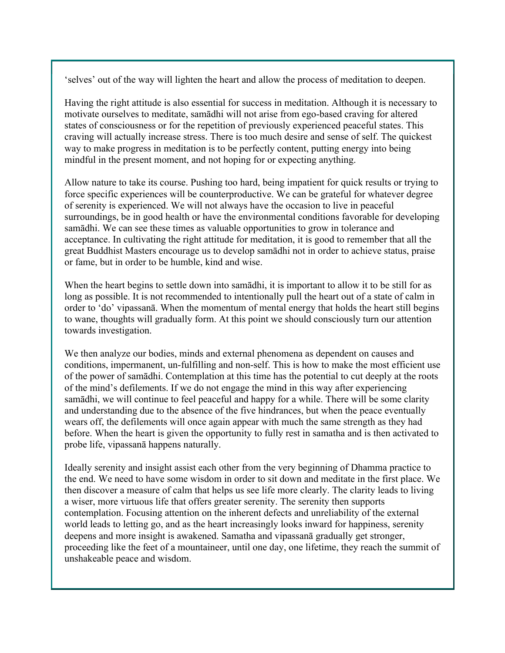'selves' out of the way will lighten the heart and allow the process of meditation to deepen.

Having the right attitude is also essential for success in meditation. Although it is necessary to motivate ourselves to meditate, samādhi will not arise from ego-based craving for altered states of consciousness or for the repetition of previously experienced peaceful states. This craving will actually increase stress. There is too much desire and sense of self. The quickest way to make progress in meditation is to be perfectly content, putting energy into being mindful in the present moment, and not hoping for or expecting anything.

Allow nature to take its course. Pushing too hard, being impatient for quick results or trying to force specific experiences will be counterproductive. We can be grateful for whatever degree of serenity is experienced. We will not always have the occasion to live in peaceful surroundings, be in good health or have the environmental conditions favorable for developing samādhi. We can see these times as valuable opportunities to grow in tolerance and acceptance. In cultivating the right attitude for meditation, it is good to remember that all the great Buddhist Masters encourage us to develop samādhi not in order to achieve status, praise or fame, but in order to be humble, kind and wise.

When the heart begins to settle down into samādhi, it is important to allow it to be still for as long as possible. It is not recommended to intentionally pull the heart out of a state of calm in order to 'do' vipassanā. When the momentum of mental energy that holds the heart still begins to wane, thoughts will gradually form. At this point we should consciously turn our attention towards investigation.

We then analyze our bodies, minds and external phenomena as dependent on causes and conditions, impermanent, un-fulfilling and non-self. This is how to make the most efficient use of the power of samādhi. Contemplation at this time has the potential to cut deeply at the roots of the mind's defilements. If we do not engage the mind in this way after experiencing samādhi, we will continue to feel peaceful and happy for a while. There will be some clarity and understanding due to the absence of the five hindrances, but when the peace eventually wears off, the defilements will once again appear with much the same strength as they had before. When the heart is given the opportunity to fully rest in samatha and is then activated to probe life, vipassanā happens naturally.

Ideally serenity and insight assist each other from the very beginning of Dhamma practice to the end. We need to have some wisdom in order to sit down and meditate in the first place. We then discover a measure of calm that helps us see life more clearly. The clarity leads to living a wiser, more virtuous life that offers greater serenity. The serenity then supports contemplation. Focusing attention on the inherent defects and unreliability of the external world leads to letting go, and as the heart increasingly looks inward for happiness, serenity deepens and more insight is awakened. Samatha and vipassanā gradually get stronger, proceeding like the feet of a mountaineer, until one day, one lifetime, they reach the summit of unshakeable peace and wisdom.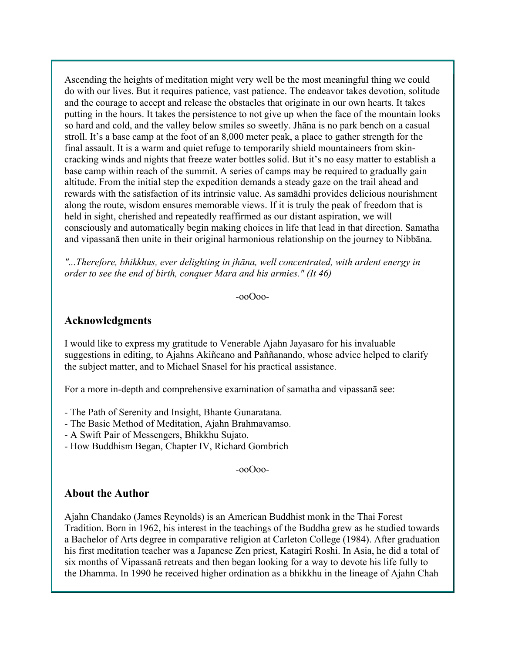Ascending the heights of meditation might very well be the most meaningful thing we could do with our lives. But it requires patience, vast patience. The endeavor takes devotion, solitude and the courage to accept and release the obstacles that originate in our own hearts. It takes putting in the hours. It takes the persistence to not give up when the face of the mountain looks so hard and cold, and the valley below smiles so sweetly. Jhāna is no park bench on a casual stroll. It's a base camp at the foot of an 8,000 meter peak, a place to gather strength for the final assault. It is a warm and quiet refuge to temporarily shield mountaineers from skincracking winds and nights that freeze water bottles solid. But it's no easy matter to establish a base camp within reach of the summit. A series of camps may be required to gradually gain altitude. From the initial step the expedition demands a steady gaze on the trail ahead and rewards with the satisfaction of its intrinsic value. As samādhi provides delicious nourishment along the route, wisdom ensures memorable views. If it is truly the peak of freedom that is held in sight, cherished and repeatedly reaffirmed as our distant aspiration, we will consciously and automatically begin making choices in life that lead in that direction. Samatha and vipassanā then unite in their original harmonious relationship on the journey to Nibbāna.

*"...Therefore, bhikkhus, ever delighting in jhāna, well concentrated, with ardent energy in order to see the end of birth, conquer Mara and his armies." (It 46)*

-ooOoo-

#### **Acknowledgments**

I would like to express my gratitude to Venerable Ajahn Jayasaro for his invaluable suggestions in editing, to Ajahns Akiñcano and Paññanando, whose advice helped to clarify the subject matter, and to Michael Snasel for his practical assistance.

For a more in-depth and comprehensive examination of samatha and vipassanā see:

- The Path of Serenity and Insight, Bhante Gunaratana.

- The Basic Method of Meditation, Ajahn Brahmavamso.
- A Swift Pair of Messengers, Bhikkhu Sujato.
- How Buddhism Began, Chapter IV, Richard Gombrich

-ooOoo-

#### **About the Author**

Ajahn Chandako (James Reynolds) is an American Buddhist monk in the Thai Forest Tradition. Born in 1962, his interest in the teachings of the Buddha grew as he studied towards a Bachelor of Arts degree in comparative religion at Carleton College (1984). After graduation his first meditation teacher was a Japanese Zen priest, Katagiri Roshi. In Asia, he did a total of six months of Vipassanā retreats and then began looking for a way to devote his life fully to the Dhamma. In 1990 he received higher ordination as a bhikkhu in the lineage of Ajahn Chah